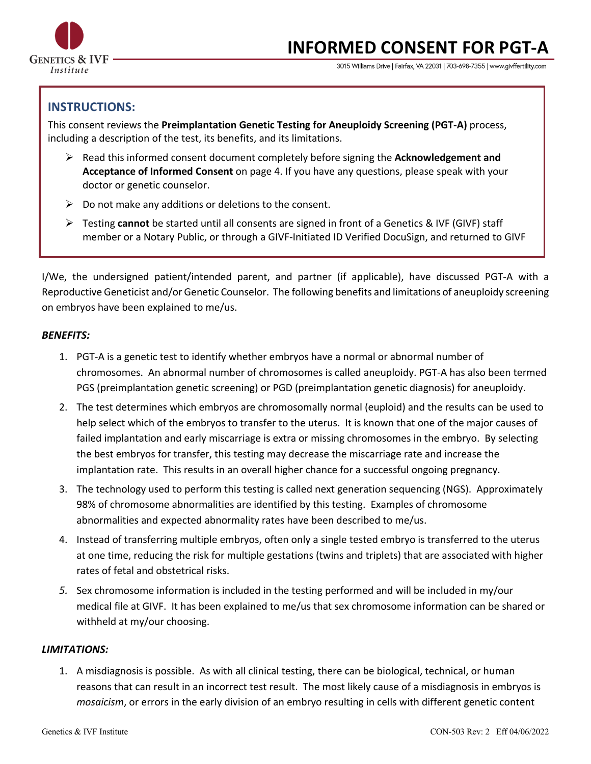

# **INFORMED CONSENT FOR PGT-A**

3015 Williams Drive | Fairfax, VA 22031 | 703-698-7355 | www.givffertility.com

## **INSTRUCTIONS:**

This consent reviews the **Preimplantation Genetic Testing for Aneuploidy Screening (PGT-A)** process, including a description of the test, its benefits, and its limitations.

- Ø Read this informed consent document completely before signing the **Acknowledgement and Acceptance of Informed Consent** on page 4. If you have any questions, please speak with your doctor or genetic counselor.
- $\triangleright$  Do not make any additions or deletions to the consent.
- Ø Testing **cannot** be started until all consents are signed in front of a Genetics & IVF (GIVF) staff member or a Notary Public, or through a GIVF-Initiated ID Verified DocuSign, and returned to GIVF

I/We, the undersigned patient/intended parent, and partner (if applicable), have discussed PGT-A with a Reproductive Geneticist and/or Genetic Counselor. The following benefits and limitations of aneuploidy screening on embryos have been explained to me/us.

#### *BENEFITS:*

- 1. PGT-A is a genetic test to identify whether embryos have a normal or abnormal number of chromosomes. An abnormal number of chromosomes is called aneuploidy. PGT-A has also been termed PGS (preimplantation genetic screening) or PGD (preimplantation genetic diagnosis) for aneuploidy.
- 2. The test determines which embryos are chromosomally normal (euploid) and the results can be used to help select which of the embryos to transfer to the uterus. It is known that one of the major causes of failed implantation and early miscarriage is extra or missing chromosomes in the embryo. By selecting the best embryos for transfer, this testing may decrease the miscarriage rate and increase the implantation rate. This results in an overall higher chance for a successful ongoing pregnancy.
- 3. The technology used to perform this testing is called next generation sequencing (NGS). Approximately 98% of chromosome abnormalities are identified by this testing. Examples of chromosome abnormalities and expected abnormality rates have been described to me/us.
- 4. Instead of transferring multiple embryos, often only a single tested embryo is transferred to the uterus at one time, reducing the risk for multiple gestations (twins and triplets) that are associated with higher rates of fetal and obstetrical risks.
- *5.* Sex chromosome information is included in the testing performed and will be included in my/our medical file at GIVF. It has been explained to me/us that sex chromosome information can be shared or withheld at my/our choosing.

## *LIMITATIONS:*

1. A misdiagnosis is possible. As with all clinical testing, there can be biological, technical, or human reasons that can result in an incorrect test result. The most likely cause of a misdiagnosis in embryos is *mosaicism*, or errors in the early division of an embryo resulting in cells with different genetic content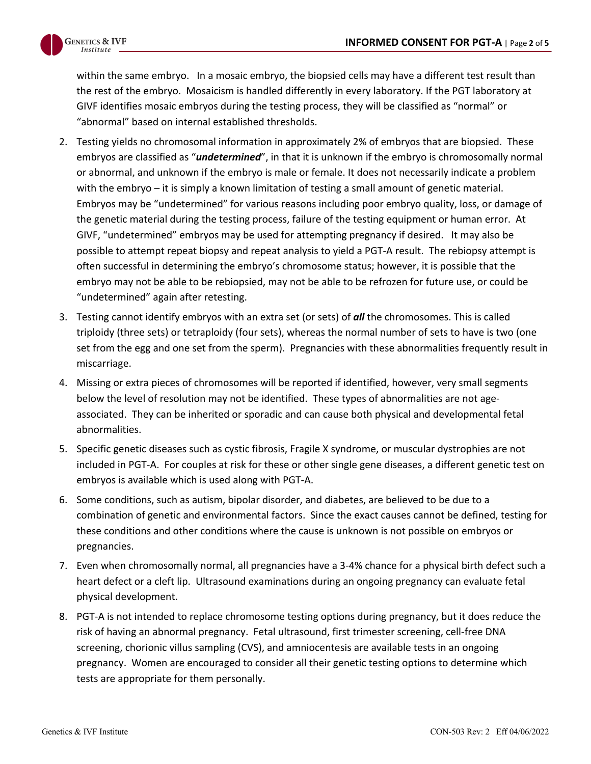

within the same embryo. In a mosaic embryo, the biopsied cells may have a different test result than the rest of the embryo. Mosaicism is handled differently in every laboratory. If the PGT laboratory at GIVF identifies mosaic embryos during the testing process, they will be classified as "normal" or "abnormal" based on internal established thresholds.

- 2. Testing yields no chromosomal information in approximately 2% of embryos that are biopsied. These embryos are classified as "*undetermined*", in that it is unknown if the embryo is chromosomally normal or abnormal, and unknown if the embryo is male or female. It does not necessarily indicate a problem with the embryo – it is simply a known limitation of testing a small amount of genetic material. Embryos may be "undetermined" for various reasons including poor embryo quality, loss, or damage of the genetic material during the testing process, failure of the testing equipment or human error. At GIVF, "undetermined" embryos may be used for attempting pregnancy if desired. It may also be possible to attempt repeat biopsy and repeat analysis to yield a PGT-A result. The rebiopsy attempt is often successful in determining the embryo's chromosome status; however, it is possible that the embryo may not be able to be rebiopsied, may not be able to be refrozen for future use, or could be "undetermined" again after retesting.
- 3. Testing cannot identify embryos with an extra set (or sets) of *all* the chromosomes. This is called triploidy (three sets) or tetraploidy (four sets), whereas the normal number of sets to have is two (one set from the egg and one set from the sperm). Pregnancies with these abnormalities frequently result in miscarriage.
- 4. Missing or extra pieces of chromosomes will be reported if identified, however, very small segments below the level of resolution may not be identified. These types of abnormalities are not ageassociated. They can be inherited or sporadic and can cause both physical and developmental fetal abnormalities.
- 5. Specific genetic diseases such as cystic fibrosis, Fragile X syndrome, or muscular dystrophies are not included in PGT-A. For couples at risk for these or other single gene diseases, a different genetic test on embryos is available which is used along with PGT-A.
- 6. Some conditions, such as autism, bipolar disorder, and diabetes, are believed to be due to a combination of genetic and environmental factors. Since the exact causes cannot be defined, testing for these conditions and other conditions where the cause is unknown is not possible on embryos or pregnancies.
- 7. Even when chromosomally normal, all pregnancies have a 3-4% chance for a physical birth defect such a heart defect or a cleft lip. Ultrasound examinations during an ongoing pregnancy can evaluate fetal physical development.
- 8. PGT-A is not intended to replace chromosome testing options during pregnancy, but it does reduce the risk of having an abnormal pregnancy. Fetal ultrasound, first trimester screening, cell-free DNA screening, chorionic villus sampling (CVS), and amniocentesis are available tests in an ongoing pregnancy. Women are encouraged to consider all their genetic testing options to determine which tests are appropriate for them personally.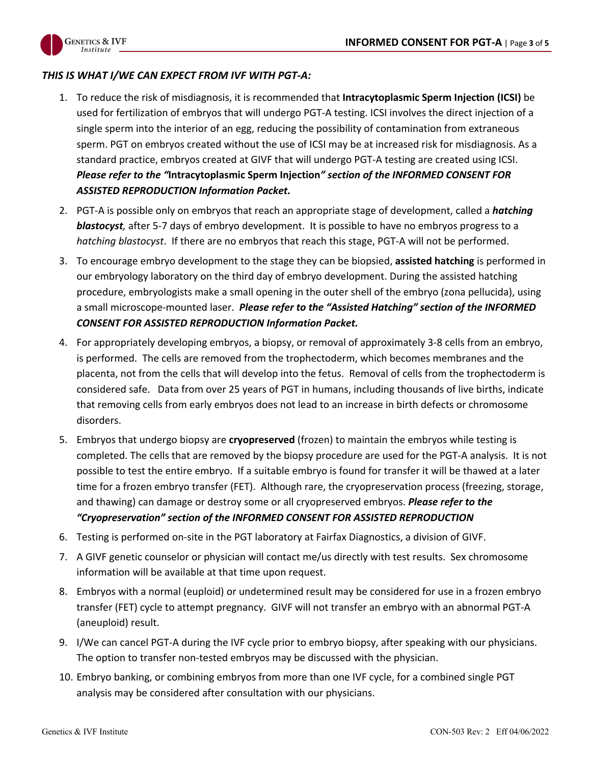

### *THIS IS WHAT I/WE CAN EXPECT FROM IVF WITH PGT-A:*

- 1. To reduce the risk of misdiagnosis, it is recommended that **Intracytoplasmic Sperm Injection (ICSI)** be used for fertilization of embryos that will undergo PGT-A testing. ICSI involves the direct injection of a single sperm into the interior of an egg, reducing the possibility of contamination from extraneous sperm. PGT on embryos created without the use of ICSI may be at increased risk for misdiagnosis. As a standard practice, embryos created at GIVF that will undergo PGT-A testing are created using ICSI. *Please refer to the "***Intracytoplasmic Sperm Injection***" section of the INFORMED CONSENT FOR ASSISTED REPRODUCTION Information Packet.*
- 2. PGT-A is possible only on embryos that reach an appropriate stage of development, called a *hatching blastocyst,* after 5-7 days of embryo development. It is possible to have no embryos progress to a *hatching blastocyst*. If there are no embryos that reach this stage, PGT-A will not be performed.
- 3. To encourage embryo development to the stage they can be biopsied, **assisted hatching** is performed in our embryology laboratory on the third day of embryo development. During the assisted hatching procedure, embryologists make a small opening in the outer shell of the embryo (zona pellucida), using a small microscope-mounted laser. *Please refer to the "Assisted Hatching" section of the INFORMED CONSENT FOR ASSISTED REPRODUCTION Information Packet.*
- 4. For appropriately developing embryos, a biopsy, or removal of approximately 3-8 cells from an embryo, is performed. The cells are removed from the trophectoderm, which becomes membranes and the placenta, not from the cells that will develop into the fetus. Removal of cells from the trophectoderm is considered safe. Data from over 25 years of PGT in humans, including thousands of live births, indicate that removing cells from early embryos does not lead to an increase in birth defects or chromosome disorders.
- 5. Embryos that undergo biopsy are **cryopreserved** (frozen) to maintain the embryos while testing is completed. The cells that are removed by the biopsy procedure are used for the PGT-A analysis. It is not possible to test the entire embryo. If a suitable embryo is found for transfer it will be thawed at a later time for a frozen embryo transfer (FET). Although rare, the cryopreservation process (freezing, storage, and thawing) can damage or destroy some or all cryopreserved embryos. *Please refer to the "Cryopreservation" section of the INFORMED CONSENT FOR ASSISTED REPRODUCTION*
- 6. Testing is performed on-site in the PGT laboratory at Fairfax Diagnostics, a division of GIVF.
- 7. A GIVF genetic counselor or physician will contact me/us directly with test results. Sex chromosome information will be available at that time upon request.
- 8. Embryos with a normal (euploid) or undetermined result may be considered for use in a frozen embryo transfer (FET) cycle to attempt pregnancy. GIVF will not transfer an embryo with an abnormal PGT-A (aneuploid) result.
- 9. I/We can cancel PGT-A during the IVF cycle prior to embryo biopsy, after speaking with our physicians. The option to transfer non-tested embryos may be discussed with the physician.
- 10. Embryo banking, or combining embryos from more than one IVF cycle, for a combined single PGT analysis may be considered after consultation with our physicians.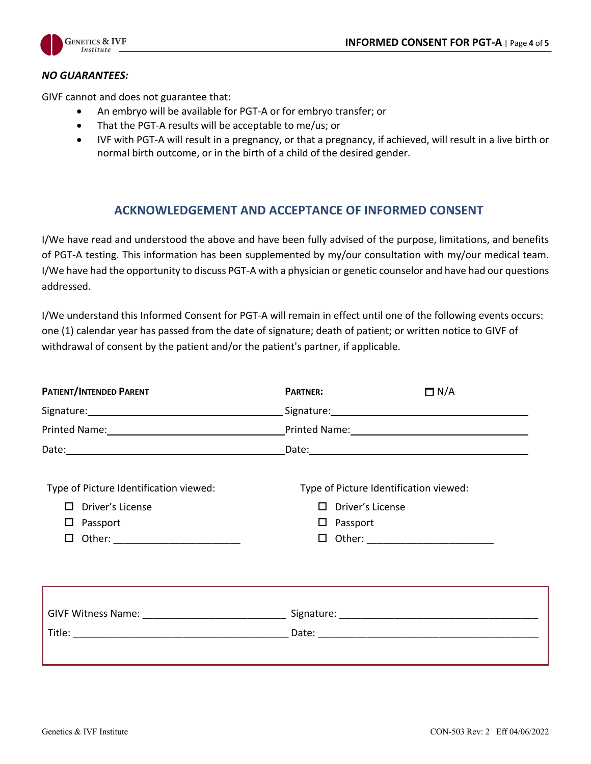

#### *NO GUARANTEES:*

GIVF cannot and does not guarantee that:

- An embryo will be available for PGT-A or for embryo transfer; or
- That the PGT-A results will be acceptable to me/us; or
- IVF with PGT-A will result in a pregnancy, or that a pregnancy, if achieved, will result in a live birth or normal birth outcome, or in the birth of a child of the desired gender.

## **ACKNOWLEDGEMENT AND ACCEPTANCE OF INFORMED CONSENT**

I/We have read and understood the above and have been fully advised of the purpose, limitations, and benefits of PGT-A testing. This information has been supplemented by my/our consultation with my/our medical team. I/We have had the opportunity to discuss PGT-A with a physician or genetic counselor and have had our questions addressed.

I/We understand this Informed Consent for PGT-A will remain in effect until one of the following events occurs: one (1) calendar year has passed from the date of signature; death of patient; or written notice to GIVF of withdrawal of consent by the patient and/or the patient's partner, if applicable.

| <b>PATIENT/INTENDED PARENT</b>         | <b>PARTNER:</b>                        | $\Box$ N/A |  |
|----------------------------------------|----------------------------------------|------------|--|
|                                        |                                        |            |  |
|                                        |                                        |            |  |
|                                        |                                        |            |  |
| Type of Picture Identification viewed: | Type of Picture Identification viewed: |            |  |
| Driver's License<br>$\Box$             | $\Box$ Driver's License                |            |  |
| Passport<br>ப                          | $\square$ Passport                     |            |  |
| □                                      | □ Other: ___________________________   |            |  |
|                                        |                                        |            |  |
|                                        |                                        |            |  |